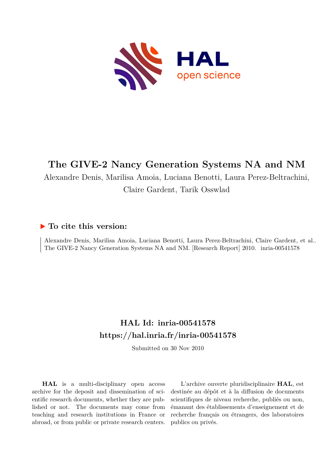

# **The GIVE-2 Nancy Generation Systems NA and NM**

Alexandre Denis, Marilisa Amoia, Luciana Benotti, Laura Perez-Beltrachini, Claire Gardent, Tarik Osswlad

## **To cite this version:**

Alexandre Denis, Marilisa Amoia, Luciana Benotti, Laura Perez-Beltrachini, Claire Gardent, et al.. The GIVE-2 Nancy Generation Systems NA and NM. [Research Report] 2010. inria-00541578

## **HAL Id: inria-00541578 <https://hal.inria.fr/inria-00541578>**

Submitted on 30 Nov 2010

**HAL** is a multi-disciplinary open access archive for the deposit and dissemination of scientific research documents, whether they are published or not. The documents may come from teaching and research institutions in France or abroad, or from public or private research centers.

L'archive ouverte pluridisciplinaire **HAL**, est destinée au dépôt et à la diffusion de documents scientifiques de niveau recherche, publiés ou non, émanant des établissements d'enseignement et de recherche français ou étrangers, des laboratoires publics ou privés.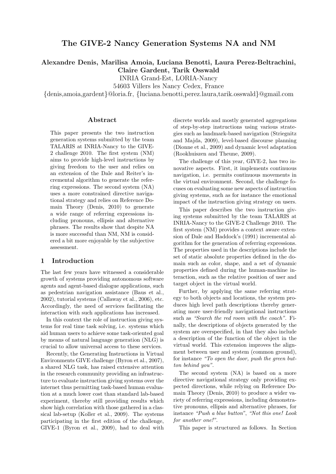## The GIVE-2 Nancy Generation Systems NA and NM

Alexandre Denis, Marilisa Amoia, Luciana Benotti, Laura Perez-Beltrachini, Claire Gardent, Tarik Osswald

INRIA Grand-Est, LORIA-Nancy

54603 Villers les Nancy Cedex, France

{denis,amoia,gardent}@loria.fr, {luciana.benotti,perez.laura,tarik.osswald}@gmail.com

#### Abstract

This paper presents the two instruction generation systems submitted by the team TALARIS at INRIA-Nancy to the GIVE-2 challenge 2010. The first system (NM) aims to provide high-level instructions by giving freedom to the user and relies on an extension of the Dale and Reiter's incremental algorithm to generate the referring expressions. The second system (NA) uses a more constrained directive navigational strategy and relies on Reference Domain Theory (Denis, 2010) to generate a wide range of referring expressions including pronouns, ellipsis and alternative phrases. The results show that despite NA is more successful than NM, NM is considered a bit more enjoyable by the subjective assessment.

## 1 Introduction

The last few years have witnessed a considerable growth of systems providing autonomous software agents and agent-based dialogue applications, such as pedestrian navigation assistance (Baus et al., 2002), tutorial systems (Callaway et al., 2006), etc. Accordingly, the need of services facilitating the interaction with such applications has increased.

In this context the role of instruction giving systems for real time task solving, i.e. systems which aid human users to achieve some task-oriented goal by means of natural language generation (NLG) is crucial to allow universal access to these services.

Recently, the Generating Instructions in Virtual Environments GIVE challenge (Byron et al., 2007), a shared NLG task, has raised extensive attention in the research community providing an infrastructure to evaluate instruction giving systems over the internet thus permitting task-based human evaluation at a much lower cost than standard lab-based experiment, thereby still providing results which show high correlation with those gathered in a classical lab-setup (Koller et al., 2009). The systems participating in the first edition of the challenge, GIVE-1 (Byron et al., 2009), had to deal with

discrete worlds and mostly generated aggregations of step-by-step instructions using various strategies such as landmark-based navigation (Striegnitz and Majda, 2009), level-based discourse planning (Dionne et al., 2009) and dynamic level adaptation (Rookhuiszen and Theune, 2009).

The challenge of this year, GIVE-2, has two innovative aspects. First, it implements continuous navigation, i.e. permits continuous movements in the virtual environment. Second, the challenge focuses on evaluating some new aspects of instruction giving systems, such as for instance the emotional impact of the instruction giving strategy on users.

This paper describes the two instruction giving systems submitted by the team TALARIS at INRIA-Nancy to the GIVE-2 Challenge 2010. The first system (NM) provides a context aware extension of Dale and Haddock's (1991) incremental algorithm for the generation of referring expressions. The properties used in the descriptions include the set of static absolute properties defined in the domain such as color, shape, and a set of dynamic properties defined during the human-machine interaction, such as the relative position of user and target object in the virtual world.

Further, by applying the same referring strategy to both objects and locations, the system produces high level path descriptions thereby generating more user-friendly navigational instructions such as "Search the red room with the coach". Finally, the descriptions of objects generated by the system are overspecified, in that they also include a description of the function of the object in the virtual world. This extension improves the alignment between user and system (common ground), for instance "To open the door, push the green button behind you".

The second system (NA) is based on a more directive navigational strategy only providing expected directions, while relying on Reference Domain Theory (Denis, 2010) to produce a wider variety of referring expressions, including demonstrative pronouns, ellipsis and alternative phrases, for instance "Push a blue button", "Not this one! Look for another one!".

This paper is structured as follows. In Section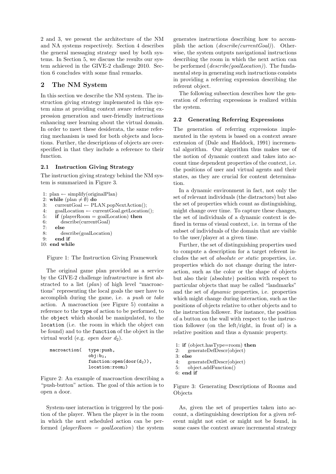2 and 3, we present the architecture of the NM and NA systems respectively. Section 4 describes the general messaging strategy used by both systems. In Section 5, we discuss the results our system achieved in the GIVE-2 challenge 2010. Section 6 concludes with some final remarks.

## 2 The NM System

In this section we describe the NM system. The instruction giving strategy implemented in this system aims at providing context aware referring expression generation and user-friendly instructions enhancing user learning about the virtual domain. In order to meet these desiderata, the same referring mechanism is used for both objects and locations. Further, the descriptions of objects are overspecified in that they include a reference to their function.

#### 2.1 Instruction Giving Strategy

The instruction giving strategy behind the NM system is summarized in Figure 3.

```
1: plan \leftarrow simplify(originalPlan)
2: while (plan \neq \emptyset) do
3: currentGoal ← PLAN.popNextAction();
4: goalLocation ← currentGoal.getLocation();
5: if (playerRoom = goalLocation) then
6: describe(currentGoal)
7: else
8: describe(goalLocation)
9: end if
10: end while
```
Figure 1: The Instruction Giving Framework

The original game plan provided as a service by the GIVE-2 challenge infrastructure is first abstracted to a list (plan) of high level "macroactions" representing the local goals the user have to accomplish during the game, i.e. a push or take action. A macroaction (see Figure 5) contains a reference to the type of action to be performed, to the object which should be manipulated, to the location (i.e. the room in which the object can be found) and to the function of the object in the virtual world (e.g. *open door*  $d_2$ ).

```
macroaction( type:push,
                    obj:b_3,function: open(door(d<sub>2</sub>)),
                    location: room<sub>2</sub>)
```
Figure 2: An example of macroaction describing a "push-button" action. The goal of this action is to open a door.

System-user interaction is triggered by the position of the player. When the player is in the room in which the next scheduled action can be performed  $(\text{playerRoom} = \text{goalLocation})$  the system

generates instructions describing how to accomplish the action  $(describe/currentGoal)$ ). Otherwise, the system outputs navigational instructions describing the room in which the next action can be performed (describe(goalLocation)). The fundamental step in generating such instructions consists in providing a referring expression describing the referent object.

The following subsection describes how the generation of referring expressions is realized within the system.

#### 2.2 Generating Referring Expressions

The generation of referring expressions implemented in the system is based on a context aware extension of (Dale and Haddock, 1991) incremental algorithm. Our algorithm thus makes use of the notion of dynamic context and takes into account time dependent properties of the context, i.e. the positions of user and virtual agents and their states, as they are crucial for content determination.

In a dynamic environment in fact, not only the set of relevant individuals (the distractors) but also the set of properties which count as distinguishing, might change over time. To capture these changes, the set of individuals of a dynamic context is defined in terms of visual context, i.e. in terms of the subset of individuals of the domain that are visible to the user/player at a given time.

Further, the set of distinguishing properties used to compute a description for a target referent includes the set of absolute or static properties, i.e. properties which do not change during the interaction, such as the color or the shape of objects but also their (absolute) position with respect to particular objects that may be called "landmarks" and the set of dynamic properties, i.e. properties which might change during interaction, such as the positions of objects relative to other objects and to the instruction follower. For instance, the position of a button on the wall with respect to the instruction follower (on the left/right, in front of) is a relative position and thus a dynamic property.

```
1: if (object.hasType=room) then
2: generateDefDescr(object)
3: else
    4: generateDefDescr(object)
5: object.addFunction()
6: end if
```
Figure 3: Generating Descriptions of Rooms and Objects

As, given the set of properties taken into account, a distinguishing description for a given referent might not exist or might not be found, in some cases the context aware incremental strategy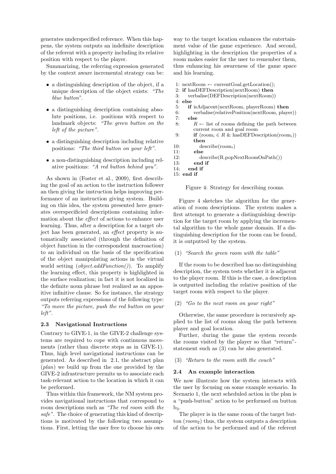generates underspecified reference. When this happens, the system outputs an indefinite description of the referent with a property including its relative position with respect to the player.

Summarizing, the referring expression generated by the context aware incremental strategy can be:

- a distinguishing description of the object, if a unique description of the object exists: "The blue button".
- a distinguishing description containing absolute positions, i.e. positions with respect to landmark objects: "The green button on the left of the picture".
- a distinguishing description including relative positions: "The third button on your left".
- a non-distinguishing description including relative positions: "A red button behind you".

As shown in (Foster et al., 2009), first describing the goal of an action to the instruction follower an then giving the instruction helps improving performance of an instruction giving system. Building on this idea, the system presented here generates overspecificied descriptions containing information about the effect of actions to enhance user learning. Thus, after a description for a target object has been generated, an effect property is automatically associated (through the definition of object function in the correspondent macroaction) to an individual on the basis of the specification of the object manipulating actions in the virtual world setting  $(object.addFunction())$ . To amplify the learning effect, this property is highlighted in the surface realization; in fact it is not localized in the definite noun phrase but realized as an appositive infinitive clause. So for instance, the strategy outputs referring expressions of the following type: "To move the picture, push the red button on your left".

#### 2.3 Navigational Instructions

Contrary to GIVE-1, in the GIVE-2 challenge systems are required to cope with continuous movements (rather than discrete steps as in GIVE-1). Thus, high level navigational instructions can be generated. As described in 2.1, the abstract plan (plan) we build up from the one provided by the GIVE-2 infrastructure permits us to associate each task-relevant action to the location in which it can be performed.

Thus within this framework, the NM system provides navigational instructions that correspond to room descriptions such as "The red room with the safe". The choice of generating this kind of descriptions is motivated by the following two assumptions. First, letting the user free to choose his own

way to the target location enhances the entertainment value of the game experience. And second, highlighting in the description the properties of a room makes easier for the user to remember them, thus enhancing his awareness of the game space and his learning.

- 1:  $nextRoom \leftarrow currentGoal.getLocation();$
- 2: if hasDEFDescription(nextRoom) then
- 3: verbalise(DEFDescription(nextRoom))
- 4:  $else$ <br>5:  $if$
- if isAdjacent(nextRoom, playerRoom) then
- 6: verbalise(relativePosition(nextRoom, player)) 7: else
- 8:  $R \leftarrow$  list of rooms defining the path between current room and goal room
- 9: **if**  $(\text{room}_i \in R \& \text{hasDEFDescription}(room_i))$ then
- 10: describe(room<sub>i</sub>)<br>11: **else**
- else
- 12: describe(R.popNextRoomOnPath())<br>13: **end if**
- end if
	- 14: end if
	- 15: end if

Figure 4: Strategy for describing rooms.

Figure 4 sketches the algorithm for the generation of room descriptions. The system makes a first attempt to generate a distinguishing description for the target room by applying the incremental algorithm to the whole game domain. If a distinguishing description for the room can be found, it is outputted by the system.

#### (1) "Search the green room with the table"

If the room to be described has no distinguishing description, the system tests whether it is adjacent to the player room. If this is the case, a description is outputted including the relative position of the target room with respect to the player.

#### $(2)$  "Go to the next room on your right"

Otherwise, the same procedure is recursively applied to the list of rooms along the path between player and goal location.

Further, during the game the system records the rooms visited by the player so that "return" statement such as (3) can be also generated.

(3) "Return to the room with the couch"

#### 2.4 An example interaction

We now illustrate how the system interacts with the user by focusing on some example scenario. In Scenario 1, the next scheduled action in the plan is a "push-button" action to be performed on button  $b_3$ .

The player is in the same room of the target button  $(room_2)$  thus, the system outputs a description of the action to be performed and of the referent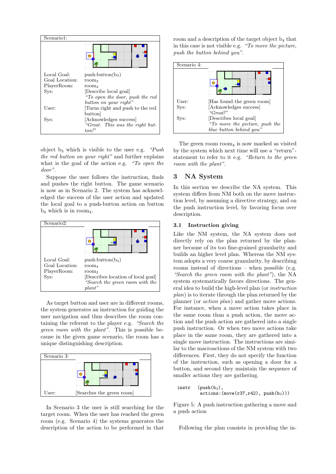

object  $b_3$  which is visible to the user e.g. "Push" the red button on your right" and further explains what is the goal of the action e.g. "To open the door".

Suppose the user follows the instruction, finds and pushes the right button. The game scenario is now as in Scenario 2. The system has acknowledged the success of the user action and updated the local goal to a push-button action on button  $b_4$  which is in room<sub>4</sub>.



As target button and user are in different rooms, the system generates an instruction for guiding the user navigation and thus describes the room containing the referent to the player e.g. "Search the green room with the plant". This is possible because in the given game scenario, the room has a unique distinguishing description.



In Scenario 3 the user is still searching for the target room. When the user has reached the green room (e.g. Scenario 4) the systems generates the description of the action to be performed in that room and a description of the target object  $b_4$  that in this case is not visible e.g. "To move the picture, push the button behind you".



The green room room $_4$  is now marked as visited by the system which next time will use a "return" statement to refer to it e.g. "Return to the green room with the plant".

## 3 NA System

In this section we describe the NA system. This system differs from NM both on the move instruction level, by assuming a directive strategy, and on the push instruction level, by favoring focus over description.

#### 3.1 Instruction giving

Like the NM system, the NA system does not directly rely on the plan returned by the planner because of its too fine-grained granularity and builds an higher level plan. Whereas the NM system adopts a very coarse granularity, by describing rooms instead of directions – when possible (e.g. "Search the green room with the plant"), the NA system systematically favors directions. The general idea to build the high-level plan (or instruction  $plan)$  is to iterate through the plan returned by the planner (or action plan) and gather move actions. For instance, when a move action takes place in the same room than a push action, the move action and the push action are gathered into a single push instruction. Or when two move actions take place in the same room, they are gathered into a single move instruction. The instructions are similar to the macroactions of the NM system with two differences. First, they do not specify the function of the instruction, such as opening a door for a button, and second they maintain the sequence of smaller actions they are gathering.

```
instr (push(b_3),actions:(move(r37, r42), push(b<sub>3</sub>)))
```
Figure 5: A push instruction gathering a move and a push action

Following the plan consists in providing the in-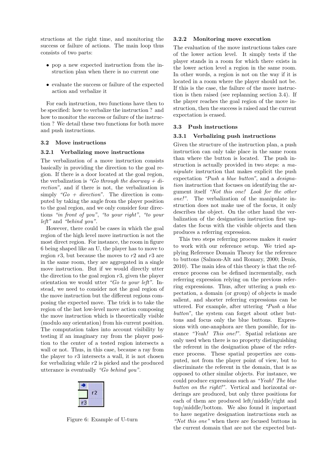structions at the right time, and monitoring the success or failure of actions. The main loop thus consists of two parts:

- pop a new expected instruction from the instruction plan when there is no current one
- evaluate the success or failure of the expected action and verbalize it

For each instruction, two functions have then to be specified: how to verbalize the instruction ? and how to monitor the success or failure of the instruction ? We detail these two functions for both move and push instructions.

#### 3.2 Move instructions

#### 3.2.1 Verbalizing move instructions

The verbalization of a move instruction consists basically in providing the direction to the goal region. If there is a door located at the goal region, the verbalization is "Go through the doorway + direction", and if there is not, the verbalization is simply " $Go + direction$ ". The direction is computed by taking the angle from the player position to the goal region, and we only consider four directions "in front of you", "to your right", "to your left" and "behind you".

However, there could be cases in which the goal region of the high level move instruction is not the most direct region. For instance, the room in figure 6 being shaped like an U, the player has to move to region  $r3$ , but because the moves to  $r2$  and  $r3$  are in the same room, they are aggregated in a single move instruction. But if we would directly utter the direction to the goal region  $r3$ , given the player orientation we would utter "Go to your left". Instead, we need to consider not the goal region of the move instruction but the different regions composing the expected move. The trick is to take the region of the last low-level move action composing the move instruction which is theoretically visible (modulo any orientation) from his current position. The computation takes into account visibility by testing if an imaginary ray from the player position to the center of a tested region intersects a wall or not. Thus, in this case, because a ray from the player to  $r3$  intersects a wall, it is not chosen for verbalizing while r2 is picked and the produced utterance is eventually "Go behind you".

Figure 6: Example of U-turn

#### 3.2.2 Monitoring move execution

The evaluation of the move instructions takes care of the lower action level. It simply tests if the player stands in a room for which there exists in the lower action level a region in the same room. In other words, a region is not on the way if it is located in a room where the player should not be. If this is the case, the failure of the move instruction is then raised (see replanning section 3.4). If the player reaches the goal region of the move instruction, then the success is raised and the current expectation is erased.

#### 3.3 Push instructions

#### 3.3.1 Verbalizing push instructions

Given the structure of the instruction plan, a push instruction can only take place in the same room than where the button is located. The push instruction is actually provided in two steps: a manipulate instruction that makes explicit the push expectation "Push a blue button", and a designation instruction that focuses on identifying the argument itself "Not this one! Look for the other one!". The verbalization of the manipulate instruction does not make use of the focus, it only describes the object. On the other hand the verbalization of the designation instruction first updates the focus with the visible objects and then produces a referring expression.

This two steps referring process makes it easier to work with our reference setup. We tried applying Reference Domain Theory for the reference to buttons (Salmon-Alt and Romary, 2000; Denis, 2010). The main idea of this theory is that the reference process can be defined incrementally, each referring expression relying on the previous referring expressions. Thus, after uttering a push expectation, a domain (or group) of objects is made salient, and shorter referring expressions can be uttered. For example, after uttering "Push a blue button", the system can forget about other buttons and focus only the blue buttons. Expressions with one-anaphora are then possible, for instance "Yeah! This one!". Spatial relations are only used when there is no property distinguishing the referent in the designation phase of the reference process. These spatial properties are computed, not from the player point of view, but to discriminate the referent in the domain, that is as opposed to other similar objects. For instance, we could produce expressions such as "Yeah! The blue button on the right!". Vertical and horizontal orderings are produced, but only three positions for each of them are produced left/middle/right and top/middle/bottom. We also found it important to have negative designation instructions such as "Not this one" when there are focused buttons in the current domain that are not the expected but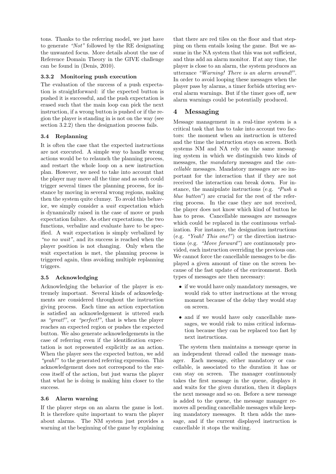tons. Thanks to the referring model, we just have to generate "Not" followed by the RE designating the unwanted focus. More details about the use of Reference Domain Theory in the GIVE challenge can be found in (Denis, 2010).

## 3.3.2 Monitoring push execution

The evaluation of the success of a push expectation is straightforward: if the expected button is pushed it is successful, and the push expectation is erased such that the main loop can pick the next instruction, if a wrong button is pushed or if the region the player is standing in is not on the way (see section 3.2.2) then the designation process fails.

#### 3.4 Replanning

It is often the case that the expected instructions are not executed. A simple way to handle wrong actions would be to relaunch the planning process, and restart the whole loop on a new instruction plan. However, we need to take into account that the player may move all the time and as such could trigger several times the planning process, for instance by moving in several wrong regions, making then the system quite clumsy. To avoid this behavior, we simply consider a wait expectation which is dynamically raised in the case of move or push expectation failure. As other expectations, the two functions, verbalize and evaluate have to be specified. A wait expectation is simply verbalized by "no no wait", and its success is reached when the player position is not changing. Only when the wait expectation is met, the planning process is triggered again, thus avoiding multiple replanning triggers.

#### 3.5 Acknowledging

Acknowledging the behavior of the player is extremely important. Several kinds of acknowledgments are considered throughout the instruction giving process. Each time an action expectation is satisfied an acknowledgement is uttered such as "great!", or "perfect!", that is when the player reaches an expected region or pushes the expected button. We also generate acknowledgements in the case of referring even if the identification expectation is not represented explicitly as an action. When the player sees the expected button, we add "yeah!" to the generated referring expression. This acknowledgement does not correspond to the success itself of the action, but just warns the player that what he is doing is making him closer to the success.

#### 3.6 Alarm warning

If the player steps on an alarm the game is lost. It is therefore quite important to warn the player about alarms. The NM system just provides a warning at the beginning of the game by explaining

that there are red tiles on the floor and that stepping on them entails losing the game. But we assume in the NA system that this was not sufficient, and thus add an alarm monitor. If at any time, the player is close to an alarm, the system produces an utterance "Warning! There is an alarm around!". In order to avoid looping these messages when the player pass by alarms, a timer forbids uttering several alarm warnings. But if the timer goes off, new alarm warnings could be potentially produced.

## 4 Messaging

Message management in a real-time system is a critical task that has to take into account two factors: the moment when an instruction is uttered and the time the instruction stays on screen. Both systems NM and NA rely on the same messaging system in which we distinguish two kinds of messages, the mandatory messages and the cancellable messages. Mandatory messages are so important for the interaction that if they are not received the interaction can break down. For instance, the manipulate instructions (e.g. "Push a blue button") are crucial for the rest of the referring process. In the case they are not received, the player does not know which kind of button he has to press. Cancellable messages are messages which could be replaced in the continuous verbalization. For instance, the designation instructions (e.g. "Yeah! This one!") or the direction instructions (e.g. "Move forward") are continuously provided, each instruction overriding the previous one. We cannot force the cancellable messages to be displayed a given amount of time on the screen because of the fast update of the environment. Both types of messages are then necessary:

- if we would have only mandatory messages, we would risk to utter instructions at the wrong moment because of the delay they would stay on screen.
- and if we would have only cancellable messages, we would risk to miss critical information because they can be replaced too fast by next instructions.

The system then maintains a message queue in an independent thread called the message manager. Each message, either mandatory or cancellable, is associated to the duration it has or can stay on screen. The manager continuously takes the first message in the queue, displays it and waits for the given duration, then it displays the next message and so on. Before a new message is added to the queue, the message manager removes all pending cancellable messages while keeping mandatory messages. It then adds the message, and if the current displayed instruction is cancellable it stops the waiting.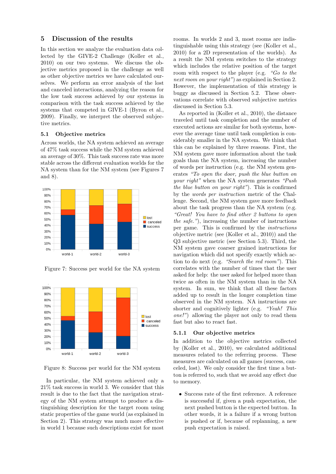## 5 Discussion of the results

In this section we analyze the evaluation data collected by the GIVE-2 Challenge (Koller et al., 2010) on our two systems. We discuss the objective metrics proposed in the challenge as well as other objective metrics we have calculated ourselves. We perform an error analysis of the lost and canceled interactions, analyzing the reason for the low task success achieved by our systems in comparison with the task success achieved by the systems that competed in GIVE-1 (Byron et al., 2009). Finally, we interpret the observed subjective metrics.

#### 5.1 Objective metrics

Across worlds, the NA system achieved an average of 47% task success while the NM system achieved an average of 30%. This task success rate was more stable across the different evaluation worlds for the NA system than for the NM system (see Figures 7 and 8).



Figure 7: Success per world for the NA system



Figure 8: Success per world for the NM system

In particular, the NM system achieved only a 21% task success in world 3. We consider that this result is due to the fact that the navigation strategy of the NM system attempt to produce a distinguishing description for the target room using static properties of the game world (as explained in Section 2). This strategy was much more effective in world 1 because such descriptions exist for most

rooms. In worlds 2 and 3, most rooms are indistinguishable using this strategy (see (Koller et al., 2010) for a 2D representation of the worlds). As a result the NM system switches to the strategy which includes the relative position of the target room with respect to the player (e.g. "Go to the next room on your right") as explained in Section 2. However, the implementation of this strategy is buggy as discussed in Section 5.2. These observations correlate with observed subjective metrics discussed in Section 5.3.

As reported in (Koller et al., 2010), the distance traveled until task completion and the number of executed actions are similar for both systems, however the average time until task completion is considerably smaller in the NA system. We think that this can be explained by three reasons. First, the NM system gave more information about the task goals than the NA system, increasing the number of words per instruction (e.g. the NM system generates "To open the door, push the blue button on your right" when the NA system generates "Push the blue button on your right"). This is confirmed by the words per instruction metric of the Challenge. Second, the NM system gave more feedback about the task progress than the NA system (e.g. "Great! You have to find other 2 buttons to open the safe."), increasing the number of instructions per game. This is confirmed by the instructions objective metric (see (Koller et al., 2010)) and the Q3 subjective metric (see Section 5.3). Third, the NM system gave coarser grained instructions for navigation which did not specify exactly which action to do next (e.g. "Search the red room"). This correlates with the number of times that the user asked for help: the user asked for helped more than twice as often in the NM system than in the NA system. In sum, we think that all these factors added up to result in the longer completion time observed in the NM system. NA instructions are shorter and cognitively lighter (e.g. "Yeah! This one!") allowing the player not only to read them fast but also to react fast.

#### 5.1.1 Our objective metrics

In addition to the objective metrics collected by (Koller et al., 2010), we calculated additional measures related to the referring process. These measures are calculated on all games (success, canceled, lost). We only consider the first time a button is referred to, such that we avoid any effect due to memory.

• Success rate of the first reference. A reference is successful if, given a push expectation, the next pushed button is the expected button. In other words, it is a failure if a wrong button is pushed or if, because of replanning, a new push expectation is raised.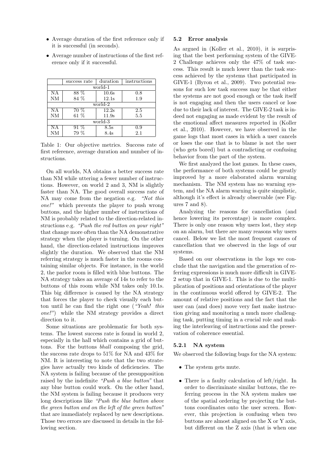- Average duration of the first reference only if it is successful (in seconds).
- Average number of instructions of the first reference only if it successful.

|           | success rate | duration | instructions |  |  |
|-----------|--------------|----------|--------------|--|--|
| $world-1$ |              |          |              |  |  |
| ΝA        | 88 %         | 10.6s    | 0.8          |  |  |
| NM        | 84 %         | 12.1s    | 1.9          |  |  |
| world-2   |              |          |              |  |  |
| ΝA        | 70 %         | 12.2s    | 2.5          |  |  |
| NM        | 61%          | 11.9s    | 5.5          |  |  |
| world-3   |              |          |              |  |  |
| <b>NA</b> | $91\%$       | 8.5s     | 0.9          |  |  |
| NM        | 79 %         | 8.4s     | 2.1          |  |  |

Table 1: Our objective metrics. Success rate of first reference, average duration and number of instructions.

On all worlds, NA obtains a better success rate than NM while uttering a fewer number of instructions. However, on world 2 and 3, NM is slightly faster than NA. The good overall success rate of NA may come from the negation e.g. "Not this one!" which prevents the player to push wrong buttons, and the higher number of instructions of NM is probably related to the direction-related instructions e.g. "Push the red button on your right" that change more often than the NA demonstrative strategy when the player is turning. On the other hand, the direction-related instructions improves slightly the duration. We observed that the NM referring strategy is much faster in the rooms containing similar objects. For instance, in the world 2, the parlor room is filled with blue buttons. The NA strategy takes an average of 14s to refer to the buttons of this room while NM takes only 10.1s. This big difference is caused by the NA strategy that forces the player to check visually each button until he can find the right one ("Yeah! this one!") while the NM strategy provides a direct direction to it.

Some situations are problematic for both systems. The lowest success rate is found in world 2, especially in the hall which contains a grid of buttons. For the buttons bhall composing the grid, the success rate drops to 51% for NA and 43% for NM. It is interesting to note that the two strategies have actually two kinds of deficiencies. The NA system is failing because of the presupposition raised by the indefinite "Push a blue button" that any blue button could work. On the other hand, the NM system is failing because it produces very long descriptions like "Push the blue button above the green button and on the left of the green button" that are immediately replaced by new descriptions. Those two errors are discussed in details in the following section.

#### 5.2 Error analysis

As argued in (Koller et al., 2010), it is surprising that the best performing system of the GIVE-2 Challenge achieves only the 47% of task success. This result is much lower than the task success achieved by the systems that participated in GIVE-1 (Byron et al., 2009). Two potential reasons for such low task success may be that either the systems are not good enough or the task itself is not engaging and then the users cancel or lose due to their lack of interest. The GIVE-2 task is indeed not engaging as made evident by the result of the emotional affect measures reported in (Koller et al., 2010). However, we have observed in the game logs that most cases in which a user cancels or loses the one that is to blame is not the user (who gets bored) but a contradicting or confusing behavior from the part of the system.

We first analyzed the lost games. In these cases, the performance of both systems could be greatly improved by a more elaborated alarm warning mechanism. The NM system has no warning system, and the NA alarm warning is quite simplistic, although it's effect is already observable (see Figures 7 and 8).

Analyzing the reasons for cancellation (and hence lowering its percentage) is more complex. There is only one reason why users lost, they step on an alarm, but there are many reasons why users cancel. Below we list the most frequent causes of cancellation that we observed in the logs of our systems.

Based on our observations in the logs we conclude that the navigation and the generation of referring expressions is much more difficult in GIVE-2 setup that in GIVE-1. This is due to the multiplication of positions and orientations of the player in the continuous world offered by GIVE-2. The amount of relative positions and the fact that the user can (and does) move very fast make instruction giving and monitoring a much more challenging task, putting timing in a crucial role and making the interleaving of instructions and the preservation of coherence essential.

#### 5.2.1 NA system

We observed the following bugs for the NA system:

- The system gets mute.
- There is a faulty calculation of left/right. In order to discriminate similar buttons, the referring process in the NA system makes use of the spatial ordering by projecting the buttons coordinates onto the user screen. However, this projection is confusing when two buttons are almost aligned on the X or Y axis, but different on the Z axis (that is when one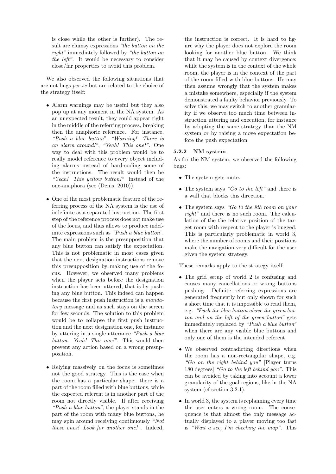is close while the other is further). The result are clumsy expressions "the button on the right" immediately followed by "the button on the left". It would be necessary to consider close/far properties to avoid this problem.

We also observed the following situations that are not bugs per se but are related to the choice of the strategy itself:

- Alarm warnings may be useful but they also pop up at any moment in the NA system. As an unexpected result, they could appear right in the middle of the referring process, breaking then the anaphoric reference. For instance, "Push a blue button", "Warning! There is an alarm around!", "Yeah! This one!". One way to deal with this problem would be to really model reference to every object including alarms instead of hard-coding some of the instructions. The result would then be "Yeah! This yellow button!" instead of the one-anaphora (see (Denis, 2010)).
- One of the most problematic feature of the referring process of the NA system is the use of indefinite as a separated instruction. The first step of the reference process does not make use of the focus, and thus allows to produce indefinite expressions such as "Push a blue button". The main problem is the presupposition that any blue button can satisfy the expectation. This is not problematic in most cases given that the next designation instructions remove this presupposition by making use of the focus. However, we observed many problems when the player acts before the designation instruction has been uttered, that is by pushing any blue button. This indeed can happen because the first push instruction is a mandatory message and as such stays on the screen for few seconds. The solution to this problem would be to collapse the first push instruction and the next designation one, for instance by uttering in a single utterance "Push a blue button. Yeah! This one!". This would then prevent any action based on a wrong presupposition.
- Relying massively on the focus is sometimes not the good strategy. This is the case when the room has a particular shape: there is a part of the room filled with blue buttons, while the expected referent is in another part of the room not directly visible. If after receiving "Push a blue button", the player stands in the part of the room with many blue buttons, he may spin around receiving continuously "Not these ones! Look for another one!". Indeed,

the instruction is correct. It is hard to figure why the player does not explore the room looking for another blue button. We think that it may be caused by context divergence: while the system is in the context of the whole room, the player is in the context of the part of the room filled with blue buttons. He may then assume wrongly that the system makes a mistake somewhere, especially if the system demonstrated a faulty behavior previously. To solve this, we may switch to another granularity if we observe too much time between instruction uttering and execution, for instance by adopting the same strategy than the NM system or by raising a move expectation before the push expectation.

#### 5.2.2 NM system

As for the NM system, we observed the following bugs:

- The system gets mute.
- The system says "Go to the left" and there is a wall that blocks this direction.
- The system says "Go to the 9th room on your right" and there is no such room. The calculation of the the relative position of the target room with respect to the player is bugged. This is particularly problematic in world 3, where the number of rooms and their positions make the navigation very difficult for the user given the system strategy.

These remarks apply to the strategy itself:

- The grid setup of world 2 is confusing and causes many cancellations or wrong buttons pushing. Definite referring expressions are generated frequently but only shown for such a short time that it is impossible to read them, e.g. "Push the blue button above the green button and on the left of the green button" gets immediately replaced by "Push a blue button" when there are any visible blue buttons and only one of them is the intended referent.
- We observed contradicting directions when the room has a non-rectangular shape, e.g. "Go on the right behind you" [Player turns 180 degrees] "Go to the left behind you". This can be avoided by taking into account a lower granularity of the goal regions, like in the NA system (cf section 3.2.1).
- In world 3, the system is replanning every time the user enters a wrong room. The consequence is that almost the only message actually displayed to a player moving too fast is "Wait a sec, I'm checking the map". This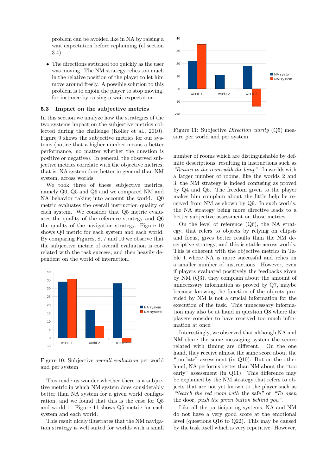problem can be avoided like in NA by raising a wait expectation before replanning (cf section 3.4).

• The directions switched too quickly as the user was moving. The NM strategy relies too much in the relative position of the player to let him move around freely. A possible solution to this problem is to enjoin the player to stop moving, for instance by raising a wait expectation.

#### 5.3 Impact on the subjective metrics

In this section we analyze how the strategies of the two systems impact on the subjective metrics collected during the challenge (Koller et al., 2010). Figure 9 shows the subjective metrics for our systems (notice that a higher number means a better performance, no matter whether the question is positive or negative). In general, the observed subjective metrics correlate with the objective metrics, that is, NA system does better in general than NM system, across worlds.

We took three of these subjective metrics, namely Q0, Q5 and Q6 and we compared NM and NA behavior taking into account the world. Q0 metric evaluates the overall instruction quality of each system. We consider that Q5 metric evaluates the quality of the reference strategy and Q6 the quality of the navigation strategy. Figure 10 shows Q0 metric for each system and each world. By comparing Figures, 8, 7 and 10 we observe that the subjective metric of overall evaluation is correlated with the task success, and then heavily dependent on the world of interaction.



Figure 10: Subjective overall evaluation per world and per system

This made us wonder whether there is a subjective metric in which NM system does considerably better than NA system for a given world configuration, and we found that this is the case for Q5 and world 1. Figure 11 shows Q5 metric for each system and each world.

This result nicely illustrates that the NM navigation strategy is well suited for worlds with a small



Figure 11: Subjective Direction clarity (Q5) measure per world and per system

number of rooms which are distinguishable by definite descriptions, resulting in instructions such as "Return to the room with the lamp". In worlds with a larger number of rooms, like the worlds 2 and 3, the NM strategy is indeed confusing as proved by Q4 and Q5. The freedom given to the player makes him complain about the little help he received from NM as shown by Q9. In such worlds, the NA strategy being more directive leads to a better subjective assessment on those metrics.

On the level of reference (Q6), the NA strategy, that refers to objects by relying on ellipsis and focus, gives better results than the NM descriptive strategy, and this is stable across worlds. This is coherent with the objective metrics in Table 1 where NA is more successful and relies on a smaller number of instructions. However, even if players evaluated positively the feedbacks given by NM (Q3), they complain about the amount of unnecessary information as proved by Q7, maybe because knowing the function of the objects provided by NM is not a crucial information for the execution of the task. This unnecessary information may also be at hand in question Q8 where the players consider to have received too much information at once.

Interestingly, we observed that although NA and NM share the same messaging system the scores related with timing are different. On the one hand, they receive almost the same score about the "too late" assessment (in Q10). But on the other hand, NA performs better than NM about the "too early" assessment (in Q11). This difference may be explained by the NM strategy that refers to objects that are not yet known to the player such as "Search the red room with the safe" or "To open the door, push the green button behind you".

Like all the participating systems, NA and NM do not have a very good score at the emotional level (questions Q16 to Q22). This may be caused by the task itself which is very repetitive. However,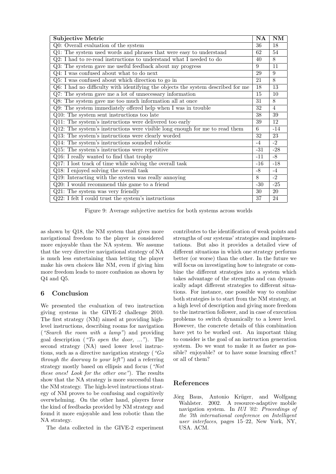| Subjective Metric                                                                | NA    | $\overline{\text{NM}}$ |
|----------------------------------------------------------------------------------|-------|------------------------|
| Q0: Overall evaluation of the system                                             | 36    | 18                     |
| Q1: The system used words and phrases that were easy to understand               |       |                        |
| Q2: I had to re-read instructions to understand what I needed to do              |       |                        |
| Q3: The system gave me useful feedback about my progress                         |       |                        |
| Q4: I was confused about what to do next                                         |       |                        |
| Q5: I was confused about which direction to go in                                |       |                        |
| Q6: I had no difficulty with identifying the objects the system described for me |       |                        |
| Q7: The system gave me a lot of unnecessary information                          |       |                        |
| Q8: The system gave me too much information all at once                          | 31    | 8                      |
| Q9: The system immediately offered help when I was in trouble                    |       |                        |
| Q10: The system sent instructions too late                                       |       |                        |
| Q11: The system's instructions were delivered too early                          |       |                        |
| Q12: The system's instructions were visible long enough for me to read them      |       | $-14$                  |
| Q13: The system's instructions were clearly worded                               |       | 23                     |
| Q14: The system's instructions sounded robotic                                   |       | $-2$                   |
| Q15: The system's instructions were repetitive                                   | $-31$ | $-28$                  |
| Q16: I really wanted to find that trophy                                         |       | $-8$                   |
| Q17: I lost track of time while solving the overall task                         |       | $-18$                  |
| Q18: I enjoyed solving the overall task                                          |       | $-4$                   |
| Q19: Interacting with the system was really annoying                             |       | $-2$                   |
| Q20: I would recommend this game to a friend                                     |       | $-25$                  |
| $Q21$ : The system was very friendly                                             |       | 20                     |
| Q22: I felt I could trust the system's instructions                              | 37    | 24                     |

Figure 9: Average subjective metrics for both systems across worlds

as shown by Q18, the NM system that gives more navigational freedom to the player is considered more enjoyable than the NA system. We assume that the very directive navigational strategy of NA is much less entertaining than letting the player make his own choices like NM, even if giving him more freedom leads to more confusion as shown by Q4 and Q5.

## 6 Conclusion

We presented the evaluation of two instruction giving systems in the GIVE-2 challenge 2010. The first strategy (NM) aimed at providing highlevel instructions, describing rooms for navigation ("Search the room with a lamp") and providing goal description ("To open the door, ..."). The second strategy (NA) used lower level instructions, such as a directive navigation strategy ("Go through the doorway to your left") and a referring strategy mostly based on ellipsis and focus ("Not these ones! Look for the other one"). The results show that the NA strategy is more successful than the NM strategy. The high-level instructions strategy of NM proves to be confusing and cognitively overwhelming. On the other hand, players favor the kind of feedbacks provided by NM strategy and found it more enjoyable and less robotic than the NA strategy.

The data collected in the GIVE-2 experiment

contributes to the identification of weak points and strengths of our systems' strategies and implementations. But also it provides a detailed view of different situations in which one strategy performs better (or worse) than the other. In the future we will focus on investigating how to integrate or combine the different strategies into a system which takes advantage of the strengths and can dynamically adapt different strategies to different situations. For instance, one possible way to combine both strategies is to start from the NM strategy, at a high level of description and giving more freedom to the instruction follower, and in case of execution problems to switch dynamically to a lower level. However, the concrete details of this combination have yet to be worked out. An important thing to consider is the goal of an instruction generation system. Do we want to make it as faster as possible? enjoyable? or to have some learning effect? or all of them?

## References

Jörg Baus, Antonio Krüger, and Wolfgang Wahlster. 2002. A resource-adaptive mobile navigation system. In IUI '02: Proceedings of the 7th international conference on Intelligent user interfaces, pages 15–22, New York, NY, USA. ACM.